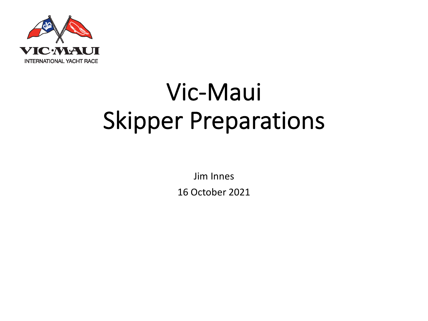

# Vic-Maui Skipper Preparations

Jim Innes 16 October 2021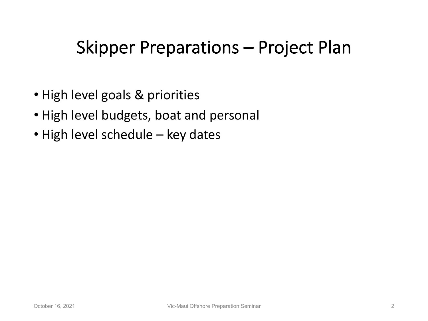#### Skipper Preparations – Project Plan

- High level goals & priorities
- High level budgets, boat and personal
- High level schedule key dates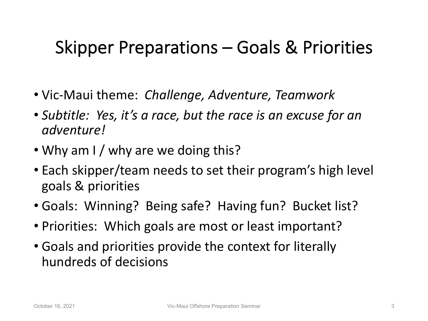### Skipper Preparations – Goals & Priorities

- Vic-Maui theme: *Challenge, Adventure, Teamwork*
- *Subtitle: Yes, it's a race, but the race is an excuse for an adventure!*
- Why am I / why are we doing this?
- Each skipper/team needs to set their program's high level goals & priorities
- Goals: Winning? Being safe? Having fun? Bucket list?
- Priorities: Which goals are most or least important?
- Goals and priorities provide the context for literally hundreds of decisions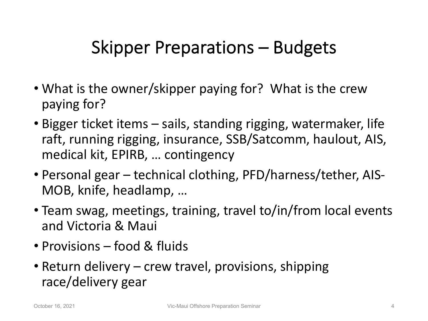## Skipper Preparations – Budgets

- What is the owner/skipper paying for? What is the crew paying for?
- Bigger ticket items sails, standing rigging, watermaker, life raft, running rigging, insurance, SSB/Satcomm, haulout, AIS, medical kit, EPIRB, … contingency
- Personal gear technical clothing, PFD/harness/tether, AIS-MOB, knife, headlamp, …
- Team swag, meetings, training, travel to/in/from local events and Victoria & Maui
- Provisions food & fluids
- Return delivery crew travel, provisions, shipping race/delivery gear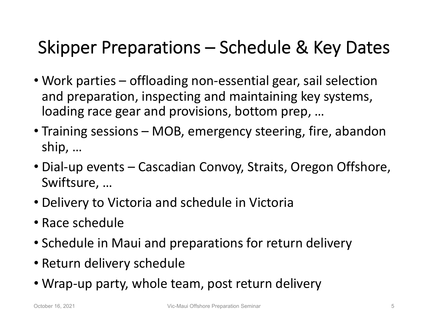# Skipper Preparations – Schedule & Key Dates

- Work parties offloading non-essential gear, sail selection and preparation, inspecting and maintaining key systems, loading race gear and provisions, bottom prep, …
- Training sessions MOB, emergency steering, fire, abandon ship, …
- Dial-up events Cascadian Convoy, Straits, Oregon Offshore, Swiftsure, …
- Delivery to Victoria and schedule in Victoria
- Race schedule
- Schedule in Maui and preparations for return delivery
- Return delivery schedule
- Wrap-up party, whole team, post return delivery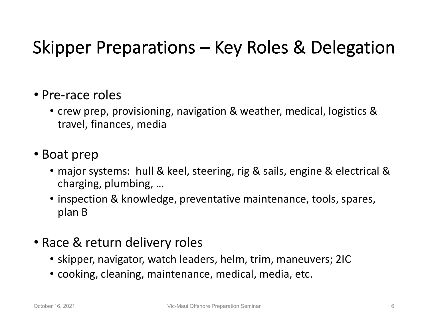# Skipper Preparations – Key Roles & Delegation

- Pre-race roles
	- crew prep, provisioning, navigation & weather, medical, logistics & travel, finances, media
- Boat prep
	- major systems: hull & keel, steering, rig & sails, engine & electrical & charging, plumbing, …
	- inspection & knowledge, preventative maintenance, tools, spares, plan B
- Race & return delivery roles
	- skipper, navigator, watch leaders, helm, trim, maneuvers; 2IC
	- cooking, cleaning, maintenance, medical, media, etc.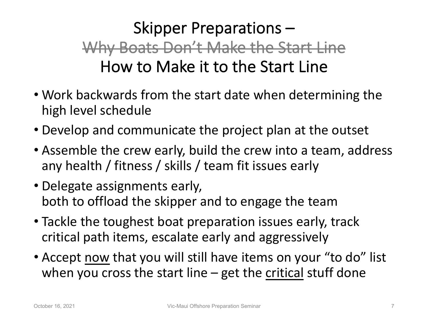#### Skipper Preparations – Why Boats Don't Make the Start Line How to Make it to the Start Line

- Work backwards from the start date when determining the high level schedule
- Develop and communicate the project plan at the outset
- Assemble the crew early, build the crew into a team, address any health / fitness / skills / team fit issues early
- Delegate assignments early, both to offload the skipper and to engage the team
- Tackle the toughest boat preparation issues early, track critical path items, escalate early and aggressively
- Accept now that you will still have items on your "to do" list when you cross the start line  $-$  get the critical stuff done